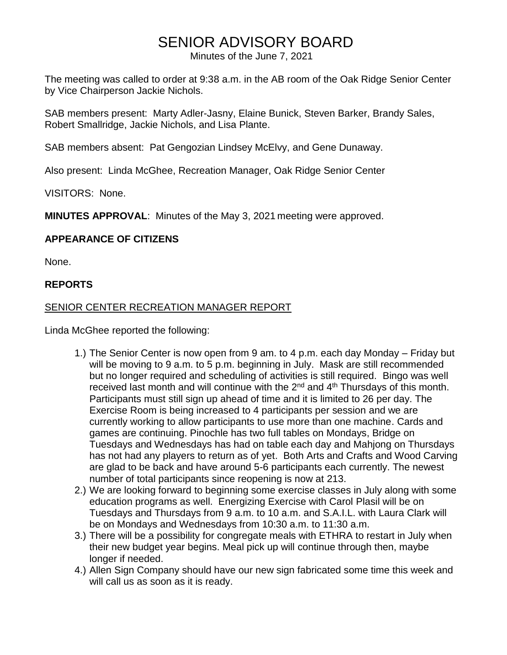# SENIOR ADVISORY BOARD

Minutes of the June 7, 2021

The meeting was called to order at 9:38 a.m. in the AB room of the Oak Ridge Senior Center by Vice Chairperson Jackie Nichols.

SAB members present: Marty Adler-Jasny, Elaine Bunick, Steven Barker, Brandy Sales, Robert Smallridge, Jackie Nichols, and Lisa Plante.

SAB members absent: Pat Gengozian Lindsey McElvy, and Gene Dunaway.

Also present: Linda McGhee, Recreation Manager, Oak Ridge Senior Center

VISITORS: None.

**MINUTES APPROVAL**: Minutes of the May 3, 2021 meeting were approved.

### **APPEARANCE OF CITIZENS**

None.

#### **REPORTS**

#### SENIOR CENTER RECREATION MANAGER REPORT

Linda McGhee reported the following:

- 1.) The Senior Center is now open from 9 am. to 4 p.m. each day Monday Friday but will be moving to 9 a.m. to 5 p.m. beginning in July. Mask are still recommended but no longer required and scheduling of activities is still required. Bingo was well received last month and will continue with the  $2<sup>nd</sup>$  and  $4<sup>th</sup>$  Thursdays of this month. Participants must still sign up ahead of time and it is limited to 26 per day. The Exercise Room is being increased to 4 participants per session and we are currently working to allow participants to use more than one machine. Cards and games are continuing. Pinochle has two full tables on Mondays, Bridge on Tuesdays and Wednesdays has had on table each day and Mahjong on Thursdays has not had any players to return as of yet. Both Arts and Crafts and Wood Carving are glad to be back and have around 5-6 participants each currently. The newest number of total participants since reopening is now at 213.
- 2.) We are looking forward to beginning some exercise classes in July along with some education programs as well. Energizing Exercise with Carol Plasil will be on Tuesdays and Thursdays from 9 a.m. to 10 a.m. and S.A.I.L. with Laura Clark will be on Mondays and Wednesdays from 10:30 a.m. to 11:30 a.m.
- 3.) There will be a possibility for congregate meals with ETHRA to restart in July when their new budget year begins. Meal pick up will continue through then, maybe longer if needed.
- 4.) Allen Sign Company should have our new sign fabricated some time this week and will call us as soon as it is ready.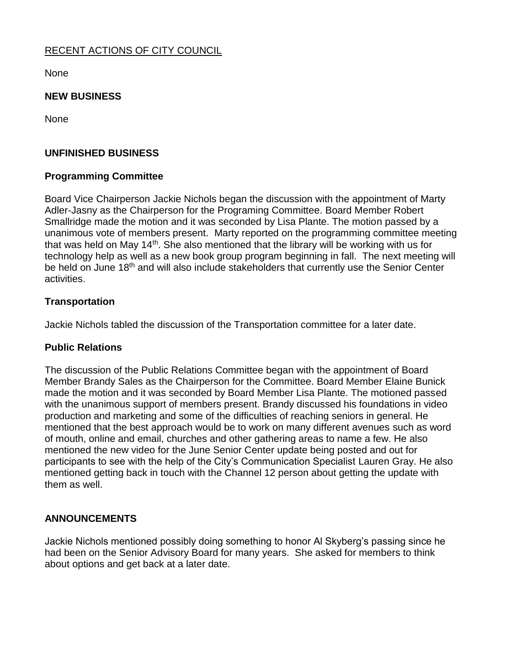## RECENT ACTIONS OF CITY COUNCIL

None

#### **NEW BUSINESS**

**None** 

### **UNFINISHED BUSINESS**

#### **Programming Committee**

Board Vice Chairperson Jackie Nichols began the discussion with the appointment of Marty Adler-Jasny as the Chairperson for the Programing Committee. Board Member Robert Smallridge made the motion and it was seconded by Lisa Plante. The motion passed by a unanimous vote of members present. Marty reported on the programming committee meeting that was held on May  $14<sup>th</sup>$ . She also mentioned that the library will be working with us for technology help as well as a new book group program beginning in fall. The next meeting will be held on June 18<sup>th</sup> and will also include stakeholders that currently use the Senior Center activities.

#### **Transportation**

Jackie Nichols tabled the discussion of the Transportation committee for a later date.

#### **Public Relations**

The discussion of the Public Relations Committee began with the appointment of Board Member Brandy Sales as the Chairperson for the Committee. Board Member Elaine Bunick made the motion and it was seconded by Board Member Lisa Plante. The motioned passed with the unanimous support of members present. Brandy discussed his foundations in video production and marketing and some of the difficulties of reaching seniors in general. He mentioned that the best approach would be to work on many different avenues such as word of mouth, online and email, churches and other gathering areas to name a few. He also mentioned the new video for the June Senior Center update being posted and out for participants to see with the help of the City's Communication Specialist Lauren Gray. He also mentioned getting back in touch with the Channel 12 person about getting the update with them as well.

### **ANNOUNCEMENTS**

Jackie Nichols mentioned possibly doing something to honor Al Skyberg's passing since he had been on the Senior Advisory Board for many years. She asked for members to think about options and get back at a later date.